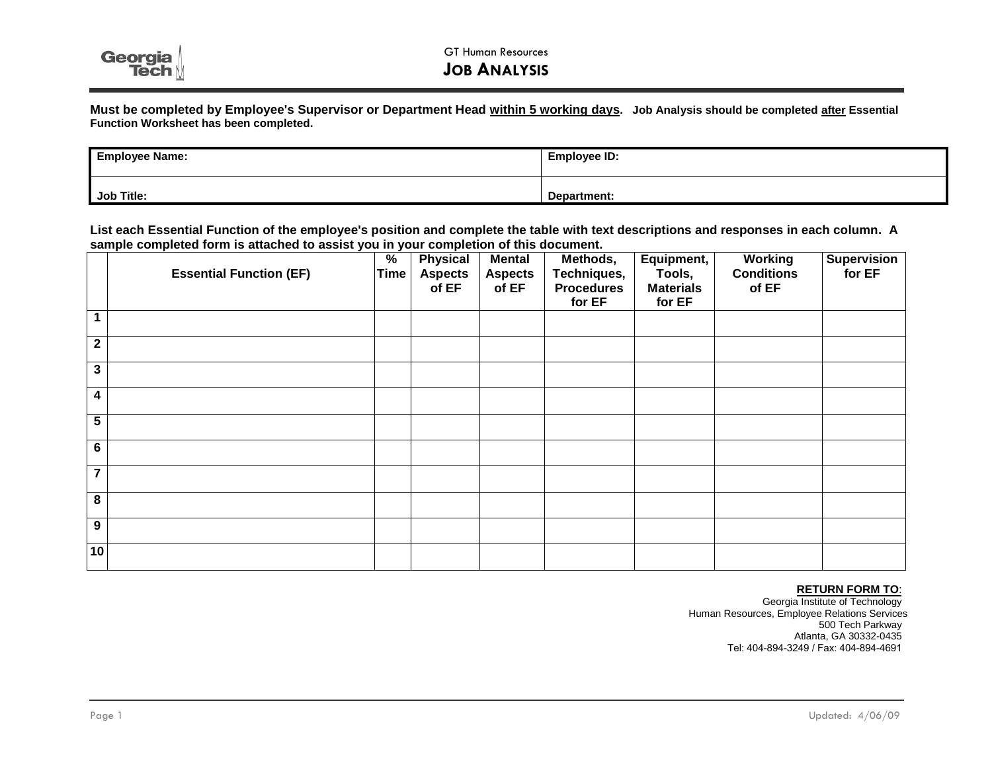

**Must be completed by Employee's Supervisor or Department Head within 5 working days. Job Analysis should be completed after Essential Function Worksheet has been completed.**

| <b>Employee Name:</b> | Employee ID: |  |  |  |
|-----------------------|--------------|--|--|--|
| Job Title:            | Department:  |  |  |  |

**List each Essential Function of the employee's position and complete the table with text descriptions and responses in each column. A sample completed form is attached to assist you in your completion of this document.** 

|                         | <b>Essential Function (EF)</b> | $\%$<br>Time | <b>Physical</b><br><b>Aspects</b><br>of EF | <b>Mental</b><br><b>Aspects</b><br>of EF | Methods,<br>Techniques,<br><b>Procedures</b><br>for EF | Equipment,<br>Tools,<br><b>Materials</b><br>for EF | <b>Working</b><br><b>Conditions</b><br>of EF | <b>Supervision</b><br>for EF |
|-------------------------|--------------------------------|--------------|--------------------------------------------|------------------------------------------|--------------------------------------------------------|----------------------------------------------------|----------------------------------------------|------------------------------|
| $\mathbf{1}$            |                                |              |                                            |                                          |                                                        |                                                    |                                              |                              |
| $\mathbf 2$             |                                |              |                                            |                                          |                                                        |                                                    |                                              |                              |
| $\mathbf{3}$            |                                |              |                                            |                                          |                                                        |                                                    |                                              |                              |
| 4                       |                                |              |                                            |                                          |                                                        |                                                    |                                              |                              |
| $\overline{\mathbf{5}}$ |                                |              |                                            |                                          |                                                        |                                                    |                                              |                              |
| $6\phantom{1}6$         |                                |              |                                            |                                          |                                                        |                                                    |                                              |                              |
| $\overline{7}$          |                                |              |                                            |                                          |                                                        |                                                    |                                              |                              |
| $\overline{\mathbf{8}}$ |                                |              |                                            |                                          |                                                        |                                                    |                                              |                              |
| 9                       |                                |              |                                            |                                          |                                                        |                                                    |                                              |                              |
| 10                      |                                |              |                                            |                                          |                                                        |                                                    |                                              |                              |

## **RETURN FORM TO**:

Georgia Institute of Technology Human Resources, Employee Relations Services 500 Tech Parkway Atlanta, GA 30332-0435 Tel: 404-894-3249 / Fax: 404-894-4691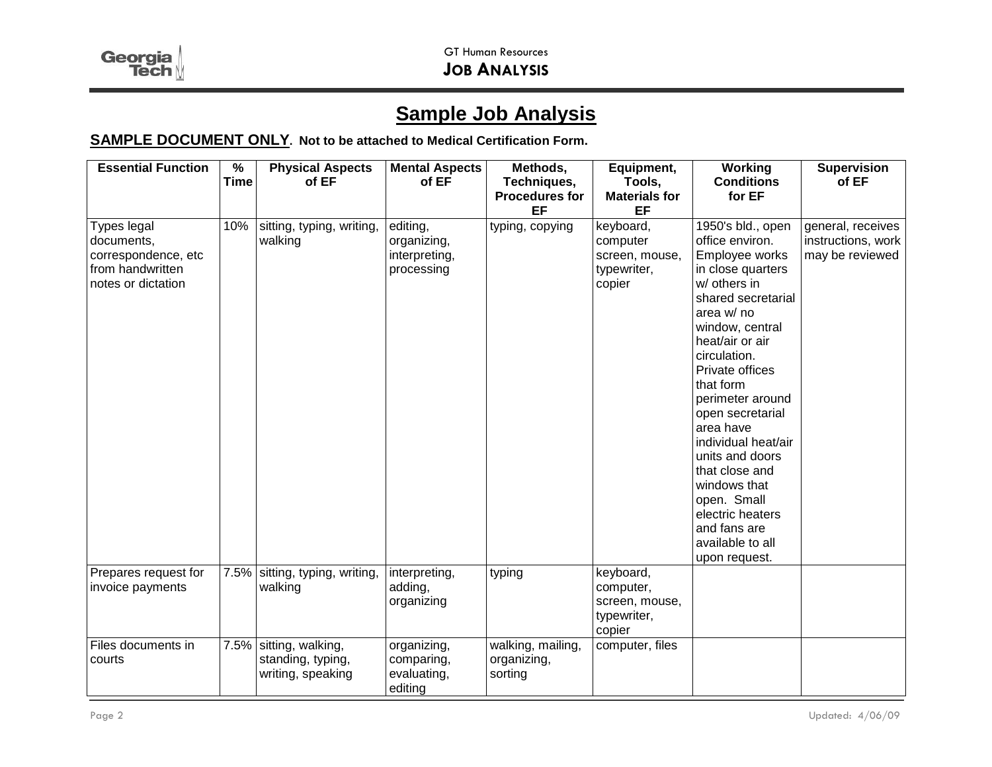Georgia

## **Sample Job Analysis**

## **SAMPLE DOCUMENT ONLY. Not to be attached to Medical Certification Form.**

| <b>Essential Function</b>                                                                  | $\overline{\frac{9}{6}}$ | <b>Physical Aspects</b>                                     | <b>Mental Aspects</b>                                  | Methods,                                    | Equipment,                                                        | Working                                                                                                                                                                                                                                                                                                                                                                                                                                        | <b>Supervision</b>                                         |
|--------------------------------------------------------------------------------------------|--------------------------|-------------------------------------------------------------|--------------------------------------------------------|---------------------------------------------|-------------------------------------------------------------------|------------------------------------------------------------------------------------------------------------------------------------------------------------------------------------------------------------------------------------------------------------------------------------------------------------------------------------------------------------------------------------------------------------------------------------------------|------------------------------------------------------------|
|                                                                                            | <b>Time</b>              | of EF                                                       | of EF                                                  | Techniques,                                 | Tools,                                                            | <b>Conditions</b>                                                                                                                                                                                                                                                                                                                                                                                                                              | of EF                                                      |
|                                                                                            |                          |                                                             |                                                        | <b>Procedures for</b><br>EF                 | <b>Materials for</b><br>EF                                        | for EF                                                                                                                                                                                                                                                                                                                                                                                                                                         |                                                            |
| Types legal<br>documents,<br>correspondence, etc<br>from handwritten<br>notes or dictation | 10%                      | sitting, typing, writing,<br>walking                        | editing,<br>organizing,<br>interpreting,<br>processing | typing, copying                             | keyboard,<br>computer<br>screen, mouse,<br>typewriter,<br>copier  | 1950's bld., open<br>office environ.<br>Employee works<br>in close quarters<br>w/ others in<br>shared secretarial<br>area w/ no<br>window, central<br>heat/air or air<br>circulation.<br>Private offices<br>that form<br>perimeter around<br>open secretarial<br>area have<br>individual heat/air<br>units and doors<br>that close and<br>windows that<br>open. Small<br>electric heaters<br>and fans are<br>available to all<br>upon request. | general, receives<br>instructions, work<br>may be reviewed |
| Prepares request for<br>invoice payments                                                   |                          | 7.5% sitting, typing, writing,<br>walking                   | interpreting,<br>adding,<br>organizing                 | typing                                      | keyboard,<br>computer,<br>screen, mouse,<br>typewriter,<br>copier |                                                                                                                                                                                                                                                                                                                                                                                                                                                |                                                            |
| Files documents in<br>courts                                                               | 7.5%                     | sitting, walking,<br>standing, typing,<br>writing, speaking | organizing,<br>comparing,<br>evaluating,<br>editing    | walking, mailing,<br>organizing,<br>sorting | computer, files                                                   |                                                                                                                                                                                                                                                                                                                                                                                                                                                |                                                            |